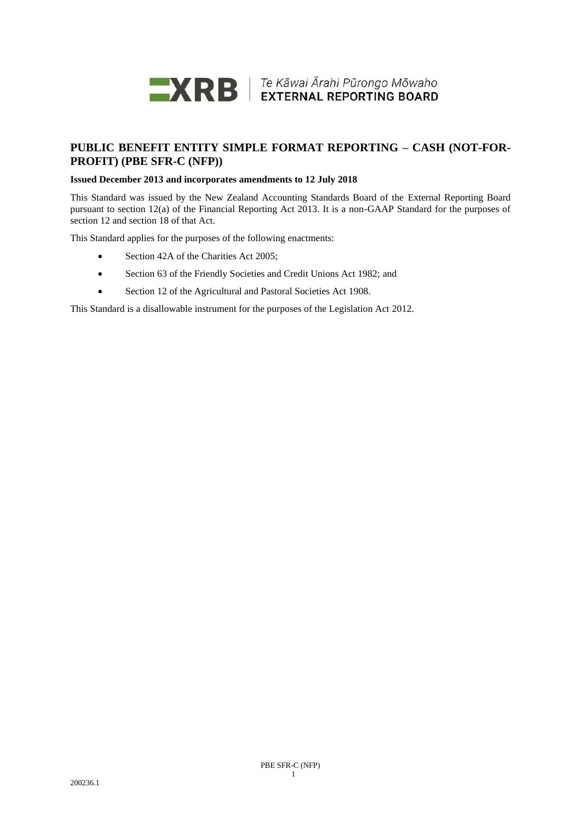

# **PUBLIC BENEFIT ENTITY SIMPLE FORMAT REPORTING – CASH (NOT-FOR-PROFIT) (PBE SFR-C (NFP))**

# **Issued December 2013 and incorporates amendments to 12 July 2018**

This Standard was issued by the New Zealand Accounting Standards Board of the External Reporting Board pursuant to section 12(a) of the Financial Reporting Act 2013. It is a non-GAAP Standard for the purposes of section 12 and section 18 of that Act.

This Standard applies for the purposes of the following enactments:

- Section 42A of the Charities Act 2005;
- Section 63 of the Friendly Societies and Credit Unions Act 1982; and
- Section 12 of the Agricultural and Pastoral Societies Act 1908.

This Standard is a disallowable instrument for the purposes of the Legislation Act 2012.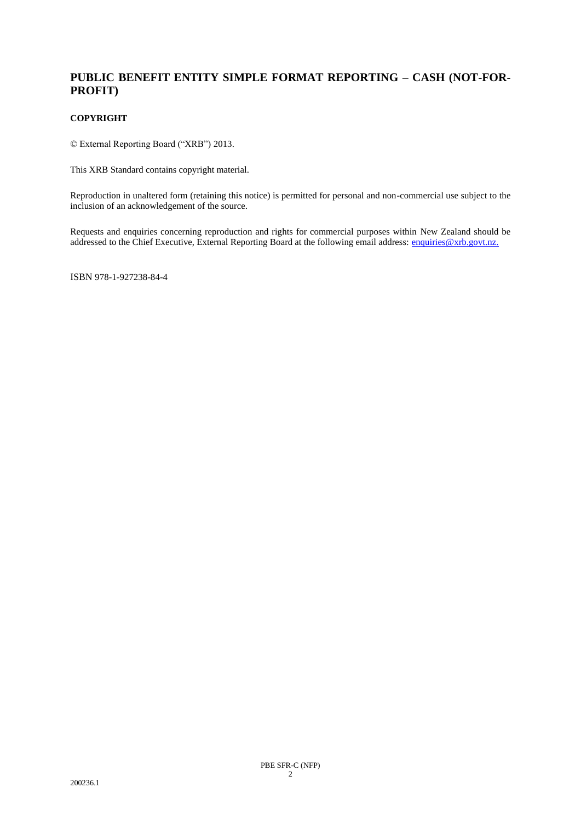# **PUBLIC BENEFIT ENTITY SIMPLE FORMAT REPORTING – CASH (NOT-FOR-PROFIT)**

# **COPYRIGHT**

© External Reporting Board ("XRB") 2013.

This XRB Standard contains copyright material.

Reproduction in unaltered form (retaining this notice) is permitted for personal and non-commercial use subject to the inclusion of an acknowledgement of the source.

Requests and enquiries concerning reproduction and rights for commercial purposes within New Zealand should be addressed to the Chief Executive, External Reporting Board at the following email address: [enquiries@xrb.govt.nz.](mailto:enquiries@xrb.govt.nz)

ISBN 978-1-927238-84-4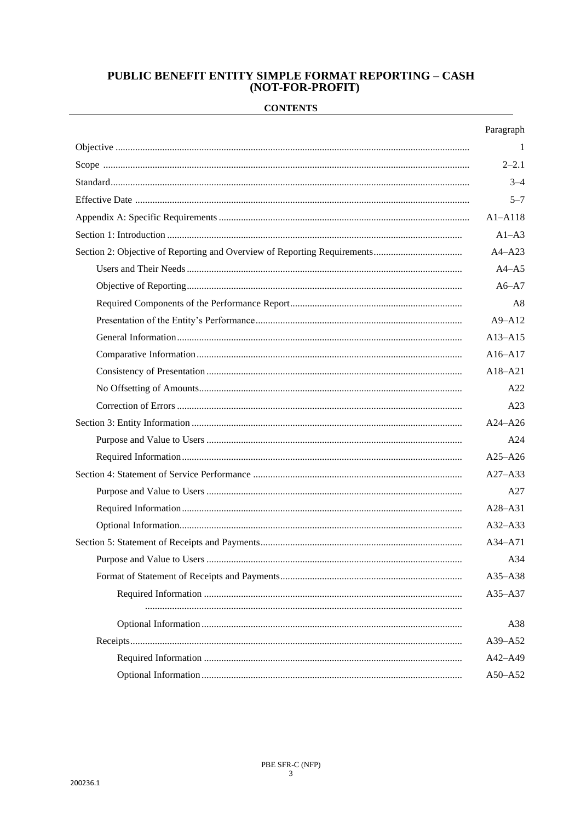# **PUBLIC BENEFIT ENTITY SIMPLE FORMAT REPORTING - CASH** (NOT-FOR-PROFIT)

# **CONTENTS**

| Paragraph   |
|-------------|
| -1          |
| $2 - 2.1$   |
| $3 - 4$     |
| $5 - 7$     |
| $A1 - A118$ |
| $A1-A3$     |
| $A4 - A23$  |
| $A4 - A5$   |
| $A6 - A7$   |
| A8          |
| $A9 - A12$  |
| $A13 - A15$ |
| $A16 - A17$ |
| $A18 - A21$ |
| A22         |
| A23         |
| $A24 - A26$ |
| A24         |
| $A25 - A26$ |
| $A27 - A33$ |
| A27         |
| $A28 - A31$ |
| $A32 - A33$ |
| $A34 - A71$ |
| A34         |
| A35-A38     |
| A35-A37     |
| A38         |
| A39-A52     |
| A42-A49     |
| A50-A52     |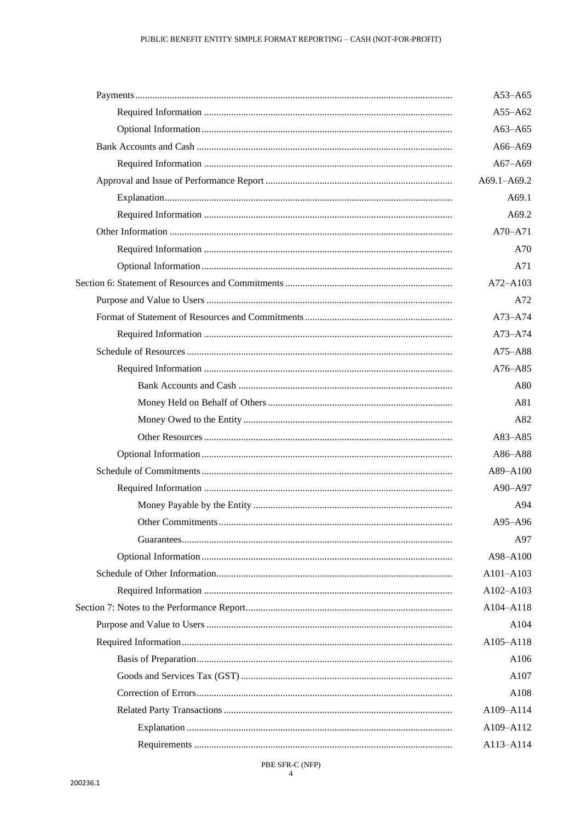| $A53 - A65$ |
|-------------|
| $A55 - A62$ |
| $A63 - A65$ |
| A66-A69     |
| $A67 - A69$ |
| A69.1-A69.2 |
| A69.1       |
| A69.2       |
| A70-A71     |
| A70         |
| A71         |
| A72-A103    |
| A72         |
| A73-A74     |
| $A73 - A74$ |
| A75-A88     |
| A76-A85     |
| A80         |
| A81         |
| A82         |
| A83-A85     |
| A86-A88     |
| A89-A100    |
| A90-A97     |
| A94         |
| A95-A96     |
| A97         |
| A98-A100    |
| A101-A103   |
| A102-A103   |
| A104-A118   |
| A104        |
| A105-A118   |
| A106        |
| A107        |
| A108        |
| A109-A114   |
| A109-A112   |
| A113-A114   |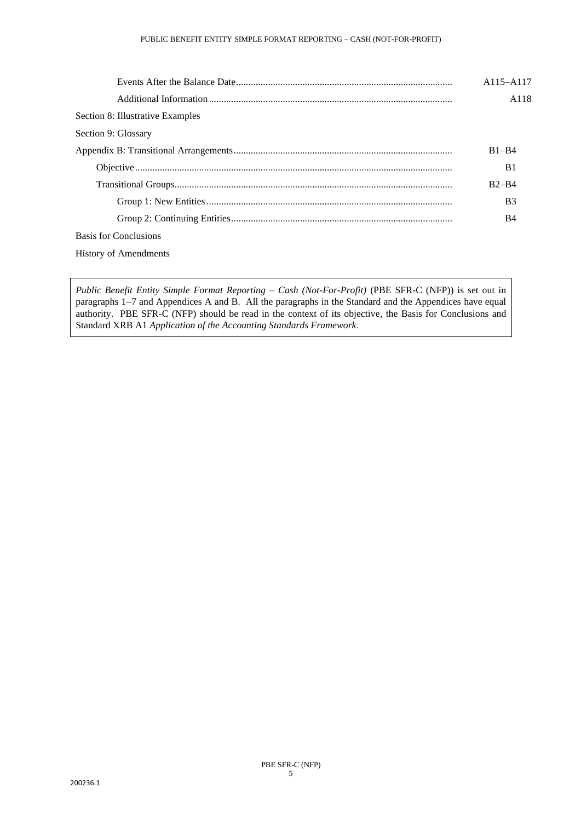|                                  | A115-A117             |
|----------------------------------|-----------------------|
|                                  | A <sub>118</sub>      |
| Section 8: Illustrative Examples |                       |
| Section 9: Glossary              |                       |
|                                  | $B1 - B4$             |
|                                  | B1                    |
|                                  | $B2-B4$               |
|                                  | <b>B</b> <sub>3</sub> |
|                                  | B4                    |
| Basis for Conclusions            |                       |
| <b>History of Amendments</b>     |                       |

*Public Benefit Entity Simple Format Reporting – Cash (Not-For-Profit)* (PBE SFR-C (NFP)) is set out in paragraphs 1−7 and Appendices A and B. All the paragraphs in the Standard and the Appendices have equal authority. PBE SFR-C (NFP) should be read in the context of its objective, the Basis for Conclusions and Standard XRB A1 *Application of the Accounting Standards Framework*.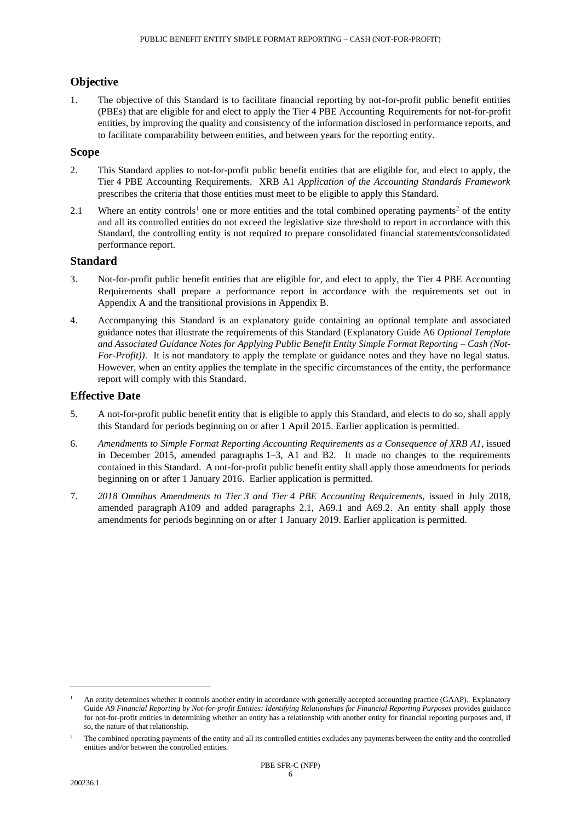# **Objective**

1. The objective of this Standard is to facilitate financial reporting by not-for-profit public benefit entities (PBEs) that are eligible for and elect to apply the Tier 4 PBE Accounting Requirements for not-for-profit entities, by improving the quality and consistency of the information disclosed in performance reports, and to facilitate comparability between entities, and between years for the reporting entity.

# **Scope**

- 2. This Standard applies to not-for-profit public benefit entities that are eligible for, and elect to apply, the Tier 4 PBE Accounting Requirements. XRB A1 *Application of the Accounting Standards Framework*  prescribes the criteria that those entities must meet to be eligible to apply this Standard.
- 2.1 Where an entity controls<sup>1</sup> one or more entities and the total combined operating payments<sup>2</sup> of the entity and all its controlled entities do not exceed the legislative size threshold to report in accordance with this Standard, the controlling entity is not required to prepare consolidated financial statements/consolidated performance report.

# **Standard**

- 3. Not-for-profit public benefit entities that are eligible for, and elect to apply, the Tier 4 PBE Accounting Requirements shall prepare a performance report in accordance with the requirements set out in Appendix A and the transitional provisions in Appendix B.
- 4. Accompanying this Standard is an explanatory guide containing an optional template and associated guidance notes that illustrate the requirements of this Standard (Explanatory Guide A6 *Optional Template and Associated Guidance Notes for Applying Public Benefit Entity Simple Format Reporting – Cash (Not-For-Profit*)). It is not mandatory to apply the template or guidance notes and they have no legal status. However, when an entity applies the template in the specific circumstances of the entity, the performance report will comply with this Standard.

# **Effective Date**

- 5. A not-for-profit public benefit entity that is eligible to apply this Standard, and elects to do so, shall apply this Standard for periods beginning on or after 1 April 2015. Earlier application is permitted.
- 6. *Amendments to Simple Format Reporting Accounting Requirements as a Consequence of XRB A1*, issued in December 2015, amended paragraphs  $1-3$ , A1 and B2. It made no changes to the requirements contained in this Standard. A not-for-profit public benefit entity shall apply those amendments for periods beginning on or after 1 January 2016. Earlier application is permitted.
- 7. *2018 Omnibus Amendments to Tier 3 and Tier 4 PBE Accounting Requirements,* issued in July 2018, amended paragraph A109 and added paragraphs 2.1, A69.1 and A69.2. An entity shall apply those amendments for periods beginning on or after 1 January 2019. Earlier application is permitted.

<sup>1</sup> An entity determines whether it controls another entity in accordance with generally accepted accounting practice (GAAP). Explanatory Guide A9 *Financial Reporting by Not-for-profit Entities: Identifying Relationships for Financial Reporting Purposes* provides guidance for not-for-profit entities in determining whether an entity has a relationship with another entity for financial reporting purposes and, if so, the nature of that relationship.

<sup>2</sup> The combined operating payments of the entity and all its controlled entities excludes any payments between the entity and the controlled entities and/or between the controlled entities.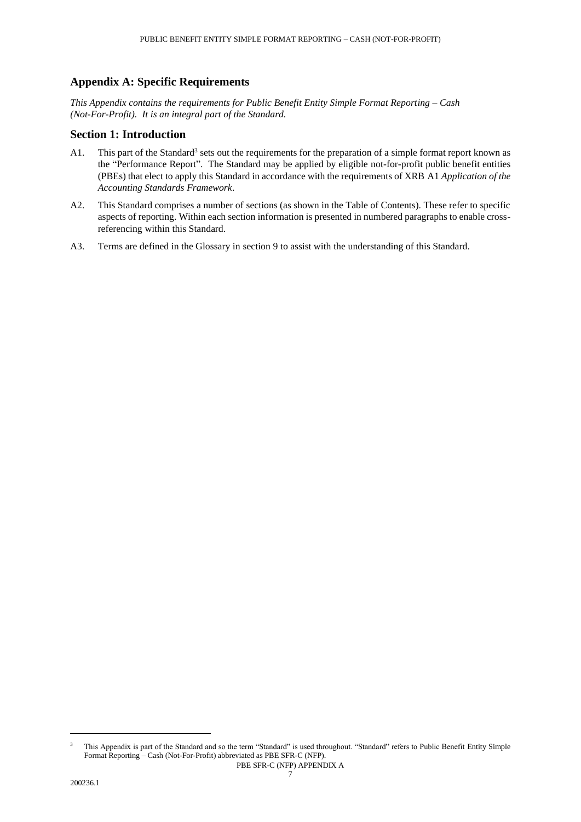# **Appendix A: Specific Requirements**

*This Appendix contains the requirements for Public Benefit Entity Simple Format Reporting – Cash (Not-For-Profit). It is an integral part of the Standard.*

# **Section 1: Introduction**

- A1. This part of the Standard<sup>3</sup> sets out the requirements for the preparation of a simple format report known as the "Performance Report". The Standard may be applied by eligible not-for-profit public benefit entities (PBEs) that elect to apply this Standard in accordance with the requirements of XRB A1 *Application of the Accounting Standards Framework*.
- A2. This Standard comprises a number of sections (as shown in the Table of Contents). These refer to specific aspects of reporting. Within each section information is presented in numbered paragraphs to enable crossreferencing within this Standard.
- A3. Terms are defined in the Glossary in section 9 to assist with the understanding of this Standard.

<sup>3</sup> This Appendix is part of the Standard and so the term "Standard" is used throughout. "Standard" refers to Public Benefit Entity Simple Format Reporting – Cash (Not-For-Profit) abbreviated as PBE SFR-C (NFP).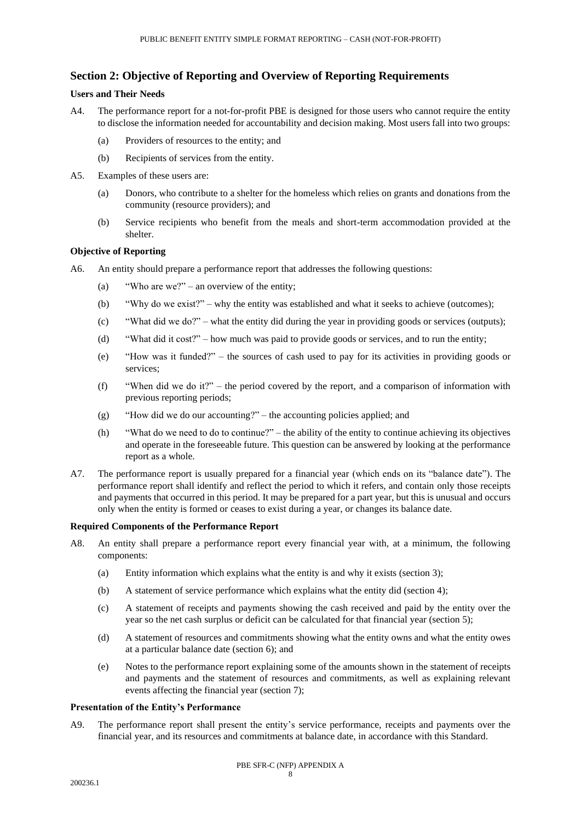# **Section 2: Objective of Reporting and Overview of Reporting Requirements**

# **Users and Their Needs**

- A4. The performance report for a not-for-profit PBE is designed for those users who cannot require the entity to disclose the information needed for accountability and decision making. Most users fall into two groups:
	- (a) Providers of resources to the entity; and
	- (b) Recipients of services from the entity.
- A5. Examples of these users are:
	- (a) Donors, who contribute to a shelter for the homeless which relies on grants and donations from the community (resource providers); and
	- (b) Service recipients who benefit from the meals and short-term accommodation provided at the shelter.

# **Objective of Reporting**

- A6. An [entity](#page-25-0) should prepare a performance report that addresses the following questions:
	- (a) "Who are we?" an overview of the entity;
	- (b) "Why do we exist?" why the entity was established and what it seeks to achieve [\(outcomes\)](#page-25-1);
	- (c) "What did we do?" what the entity did during the year in providing goods or services (outputs);
	- (d) "What did it cost?" how much was paid to provide goods or services, and to run the entity;
	- (e) "How was it funded?" the sources of cash used to pay for its activities in providing goods or services;
	- (f) "When did we do it?" the period covered by the report, and a comparison of information with previous reporting periods;
	- (g) "How did we do our accounting?" the accounting policies applied; and
	- (h) "What do we need to do to continue?" the ability of the entity to continue achieving its objectives and operate in the foreseeable future. This question can be answered by looking at the performance report as a whole.
- A7. The performance report is usually prepared for a financial year (which ends on its "balance date"). The performance report shall identify and reflect the period to which it refers, and contain only those receipts and payments that occurred in this period. It may be prepared for a part year, but this is unusual and occurs only when the entity is formed or ceases to exist during a year, or changes its balance date.

#### **Required Components of the Performance Report**

- A8. An entity shall prepare a performance report every financial year with, at a minimum, the following components:
	- (a) Entity information which explains what the entity is and why it exists (section 3);
	- (b) A statement of service performance which explains what the entity did (section 4);
	- (c) A statement of receipts and payments showing the cash received and paid by the entity over the year so the net cash surplus or deficit can be calculated for that financial year (section 5);
	- (d) A statement of resources and commitments showing what the entity owns and what the entity owes at a particular balance date (section 6); and
	- (e) Notes to the performance report explaining some of the amounts shown in the statement of receipts and payments and the statement of resources and commitments, as well as explaining relevant events affecting the financial year (section 7);

#### **Presentation of the Entity's Performance**

A9. The performance report shall present the entity's service performance, receipts and payments over the financial year, and its resources and commitments at balance date, in accordance with this Standard.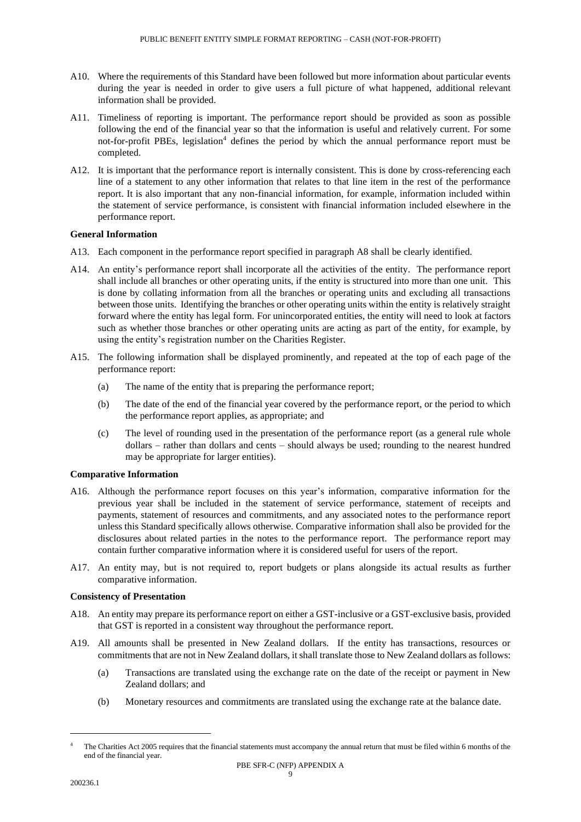- A10. Where the requirements of this Standard have been followed but more information about particular events during the year is needed in order to give users a full picture of what happened, additional relevant information shall be provided.
- A11. Timeliness of reporting is important. The performance report should be provided as soon as possible following the end of the financial year so that the information is useful and relatively current. For some not-for-profit PBEs, legislation<sup>4</sup> defines the period by which the annual performance report must be completed.
- A12. It is important that the performance report is internally consistent. This is done by cross-referencing each line of a statement to any other information that relates to that line item in the rest of the performance report. It is also important that any non-financial information, for example, information included within the statement of service performance, is consistent with financial information included elsewhere in the performance report.

# **General Information**

- A13. Each component in the performance report specified in paragraph A8 shall be clearly identified.
- A14. An entity's performance report shall incorporate all the activities of the entity. The performance report shall include all branches or other operating units, if the entity is structured into more than one unit. This is done by collating information from all the branches or operating units and excluding all transactions between those units. Identifying the branches or other operating units within the entity is relatively straight forward where the entity has legal form. For unincorporated entities, the entity will need to look at factors such as whether those branches or other operating units are acting as part of the entity, for example, by using the entity's registration number on the Charities Register.
- A15. The following information shall be displayed prominently, and repeated at the top of each page of the performance report:
	- (a) The name of the entity that is preparing the performance report;
	- (b) The date of the end of the financial year covered by the performance report, or the period to which the performance report applies, as appropriate; and
	- (c) The level of rounding used in the presentation of the performance report (as a general rule whole dollars – rather than dollars and cents – should always be used; rounding to the nearest hundred may be appropriate for larger entities).

# **Comparative Information**

- A16. Although the performance report focuses on this year's information, comparative information for the previous year shall be included in the statement of service performance, statement of receipts and payments, statement of resources and commitments, and any associated notes to the performance report unless this Standard specifically allows otherwise. Comparative information shall also be provided for the disclosures about related parties in the notes to the performance report. The performance report may contain further comparative information where it is considered useful for users of the report.
- A17. An entity may, but is not required to, report budgets or plans alongside its actual results as further comparative information.

#### **Consistency of Presentation**

- A18. An entity may prepare its performance report on either a GST-inclusive or a GST-exclusive basis, provided that GST is reported in a consistent way throughout the performance report.
- A19. All amounts shall be presented in New Zealand dollars. If the entity has transactions, resources or commitments that are not in New Zealand dollars, it shall translate those to New Zealand dollars as follows:
	- (a) Transactions are translated using the exchange rate on the date of the receipt or payment in New Zealand dollars; and
	- (b) Monetary resources and commitments are translated using the exchange rate at the balance date.

The Charities Act 2005 requires that the financial statements must accompany the annual return that must be filed within 6 months of the end of the financial year.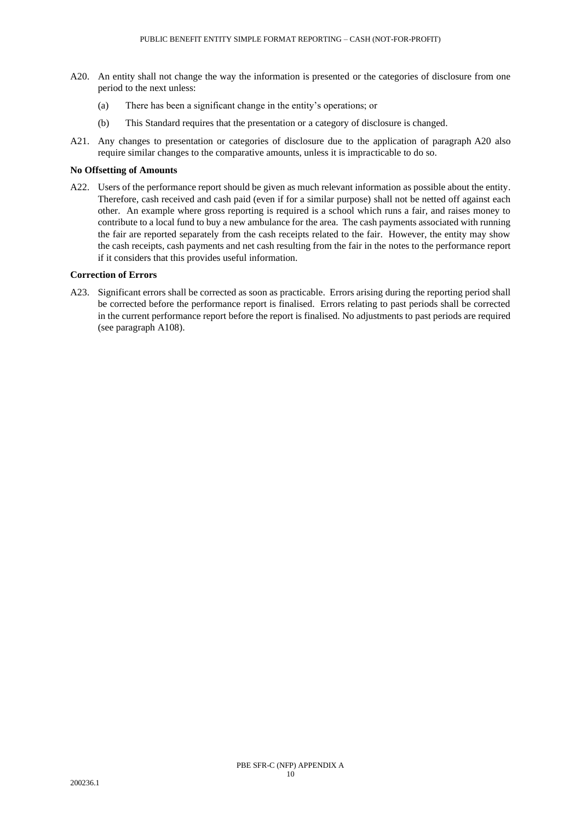- A20. An entity shall not change the way the information is presented or the categories of disclosure from one period to the next unless:
	- (a) There has been a significant change in the entity's operations; or
	- (b) This Standard requires that the presentation or a category of disclosure is changed.
- A21. Any changes to presentation or categories of disclosure due to the application of paragraph A20 also require similar changes to the comparative amounts, unless it is impracticable to do so.

### **No Offsetting of Amounts**

A22. Users of the performance report should be given as much relevant information as possible about the entity. Therefore, cash received and cash paid (even if for a similar purpose) shall not be netted off against each other. An example where gross reporting is required is a school which runs a fair, and raises money to contribute to a local fund to buy a new ambulance for the area. The cash payments associated with running the fair are reported separately from the cash receipts related to the fair. However, the entity may show the cash receipts, cash payments and net cash resulting from the fair in the notes to the performance report if it considers that this provides useful information.

## **Correction of Errors**

A23. Significant errors shall be corrected as soon as practicable. Errors arising during the reporting period shall be corrected before the performance report is finalised. Errors relating to past periods shall be corrected in the current performance report before the report is finalised. No adjustments to past periods are required (see paragraph A108).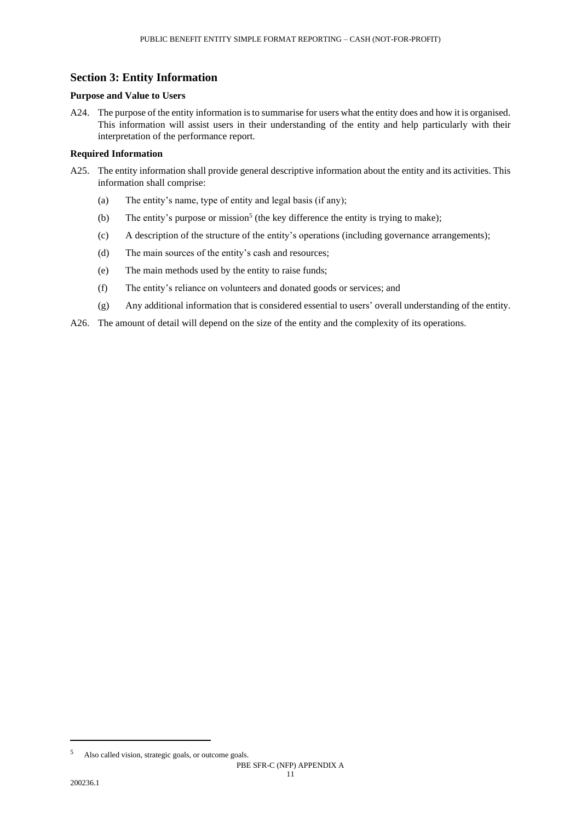# **Section 3: Entity Information**

# **Purpose and Value to Users**

A24. The purpose of the entity information is to summarise for users what the entity does and how it is organised. This information will assist users in their understanding of the entity and help particularly with their interpretation of the performance report.

# **Required Information**

- A25. The entity information shall provide general descriptive information about the entity and its activities. This information shall comprise:
	- (a) The entity's name, type of entity and legal basis (if any);
	- (b) The entity's purpose or mission<sup>5</sup> (the key difference the entity is trying to make);
	- (c) A description of the structure of the entity's operations (including governance arrangements);
	- (d) The main sources of the entity's cash and resources;
	- (e) The main methods used by the entity to raise funds;
	- (f) The entity's reliance on volunteers and donated goods or services; and
	- (g) Any additional information that is considered essential to users' overall understanding of the entity.
- A26. The amount of detail will depend on the size of the entity and the complexity of its operations.

<sup>5</sup> Also called vision, strategic goals, or outcome goals.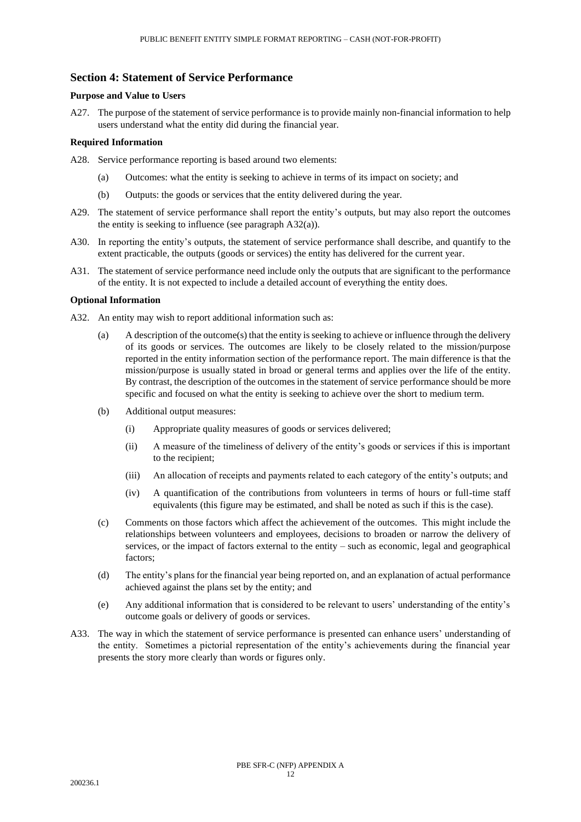# **Section 4: Statement of Service Performance**

# **Purpose and Value to Users**

A27. The purpose of the statement of service performance is to provide mainly non-financial information to help users understand what the entity did during the financial year.

# **Required Information**

- A28. Service performance reporting is based around two elements:
	- (a) Outcomes: what the entity is seeking to achieve in terms of its impact on society; and
	- (b) Outputs: the goods or services that the entity delivered during the year.
- A29. The statement of service performance shall report the entity's outputs, but may also report the outcomes the entity is seeking to influence (see paragraph A32(a)).
- A30. In reporting the entity's outputs, the statement of service performance shall describe, and quantify to the extent practicable, the outputs (goods or services) the entity has delivered for the current year.
- A31. The statement of service performance need include only the outputs that are significant to the performance of the entity. It is not expected to include a detailed account of everything the entity does.

# **Optional Information**

- A32. An entity may wish to report additional information such as:
	- (a) A description of the outcome(s) that the entity is seeking to achieve or influence through the delivery of its goods or services. The outcomes are likely to be closely related to the mission/purpose reported in the entity information section of the performance report. The main difference is that the mission/purpose is usually stated in broad or general terms and applies over the life of the entity. By contrast, the description of the outcomes in the statement of service performance should be more specific and focused on what the entity is seeking to achieve over the short to medium term.
	- (b) Additional output measures:
		- (i) Appropriate quality measures of goods or services delivered;
		- (ii) A measure of the timeliness of delivery of the entity's goods or services if this is important to the recipient;
		- (iii) An allocation of receipts and payments related to each category of the entity's outputs; and
		- (iv) A quantification of the contributions from volunteers in terms of hours or full-time staff equivalents (this figure may be estimated, and shall be noted as such if this is the case).
	- (c) Comments on those factors which affect the achievement of the outcomes. This might include the relationships between volunteers and employees, decisions to broaden or narrow the delivery of services, or the impact of factors external to the entity – such as economic, legal and geographical factors;
	- (d) The entity's plans for the financial year being reported on, and an explanation of actual performance achieved against the plans set by the entity; and
	- (e) Any additional information that is considered to be relevant to users' understanding of the entity's outcome goals or delivery of goods or services.
- A33. The way in which the statement of service performance is presented can enhance users' understanding of the entity. Sometimes a pictorial representation of the entity's achievements during the financial year presents the story more clearly than words or figures only.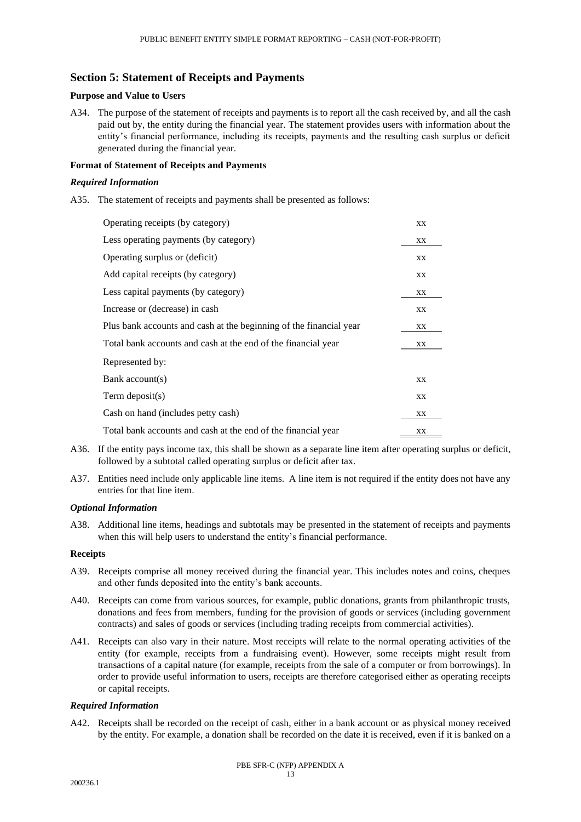# **Section 5: Statement of Receipts and Payments**

## **Purpose and Value to Users**

A34. The purpose of the statement of receipts and payments is to report all the cash received by, and all the cash paid out by, the entity during the financial year. The statement provides users with information about the entity's financial performance, including its receipts, payments and the resulting cash surplus or deficit generated during the financial year.

# **Format of Statement of Receipts and Payments**

# *Required Information*

A35. The statement of receipts and payments shall be presented as follows:

| Operating receipts (by category)                                   |    |  |
|--------------------------------------------------------------------|----|--|
| Less operating payments (by category)                              |    |  |
| Operating surplus or (deficit)                                     | XX |  |
| Add capital receipts (by category)                                 | XX |  |
| Less capital payments (by category)                                | XX |  |
| Increase or (decrease) in cash                                     | XX |  |
| Plus bank accounts and cash at the beginning of the financial year | XX |  |
| Total bank accounts and cash at the end of the financial year      | XХ |  |
| Represented by:                                                    |    |  |
| Bank account(s)                                                    | XX |  |
| Term deposit $(s)$                                                 | XX |  |
| Cash on hand (includes petty cash)                                 | XX |  |
| Total bank accounts and cash at the end of the financial year      | XX |  |

- A36. If the entity pays income tax, this shall be shown as a separate line item after operating surplus or deficit, followed by a subtotal called operating surplus or deficit after tax.
- A37. Entities need include only applicable line items. A line item is not required if the entity does not have any entries for that line item.

# *Optional Information*

A38. Additional line items, headings and subtotals may be presented in the statement of receipts and payments when this will help users to understand the entity's financial performance.

#### **Receipts**

- A39. Receipts comprise all money received during the financial year. This includes notes and coins, cheques and other funds deposited into the entity's bank accounts.
- A40. Receipts can come from various sources, for example, public donations, grants from philanthropic trusts, donations and fees from members, funding for the provision of goods or services (including government contracts) and sales of goods or services (including trading receipts from commercial activities).
- A41. Receipts can also vary in their nature. Most receipts will relate to the normal operating activities of the entity (for example, receipts from a fundraising event). However, some receipts might result from transactions of a capital nature (for example, receipts from the sale of a computer or from borrowings). In order to provide useful information to users, receipts are therefore categorised either as operating receipts or capital receipts.

#### *Required Information*

A42. Receipts shall be recorded on the receipt of cash, either in a bank account or as physical money received by the entity. For example, a donation shall be recorded on the date it is received, even if it is banked on a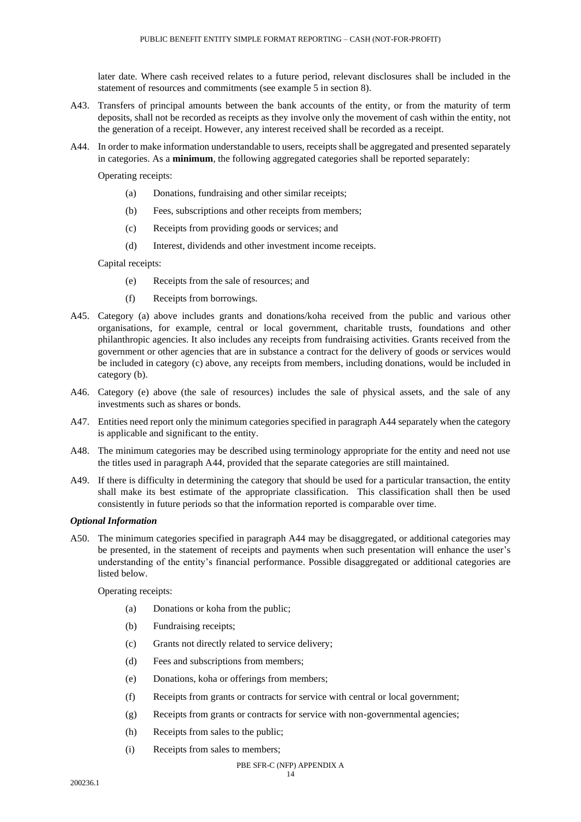later date. Where cash received relates to a future period, relevant disclosures shall be included in the statement of resources and commitments (see example 5 in section 8).

- A43. Transfers of principal amounts between the bank accounts of the entity, or from the maturity of term deposits, shall not be recorded as receipts as they involve only the movement of cash within the entity, not the generation of a receipt. However, any interest received shall be recorded as a receipt.
- A44. In order to make information understandable to users, receipts shall be aggregated and presented separately in categories. As a **minimum**, the following aggregated categories shall be reported separately:

Operating receipts:

- (a) Donations, fundraising and other similar receipts;
- (b) Fees, subscriptions and other receipts from members;
- (c) Receipts from providing goods or services; and
- (d) Interest, dividends and other investment income receipts.

Capital receipts:

- (e) Receipts from the sale of resources; and
- (f) Receipts from borrowings.
- A45. Category (a) above includes grants and donations/koha received from the public and various other organisations, for example, central or local government, charitable trusts, foundations and other philanthropic agencies. It also includes any receipts from fundraising activities. Grants received from the government or other agencies that are in substance a contract for the delivery of goods or services would be included in category (c) above, any receipts from members, including donations, would be included in category (b).
- A46. Category (e) above (the sale of resources) includes the sale of physical assets, and the sale of any investments such as shares or bonds.
- A47. Entities need report only the minimum categories specified in paragraph A44 separately when the category is applicable and significant to the entity.
- A48. The minimum categories may be described using terminology appropriate for the entity and need not use the titles used in paragraph A44, provided that the separate categories are still maintained.
- A49. If there is difficulty in determining the category that should be used for a particular transaction, the entity shall make its best estimate of the appropriate classification. This classification shall then be used consistently in future periods so that the information reported is comparable over time.

# *Optional Information*

A50. The minimum categories specified in paragraph A44 may be disaggregated, or additional categories may be presented, in the statement of receipts and payments when such presentation will enhance the user's understanding of the entity's financial performance. Possible disaggregated or additional categories are listed below.

Operating receipts:

- (a) Donations or koha from the public;
- (b) Fundraising receipts;
- (c) Grants not directly related to service delivery;
- (d) Fees and subscriptions from members;
- (e) Donations, koha or offerings from members;
- (f) Receipts from grants or contracts for service with central or local government;
- (g) Receipts from grants or contracts for service with non-governmental agencies;
- (h) Receipts from sales to the public;
- (i) Receipts from sales to members;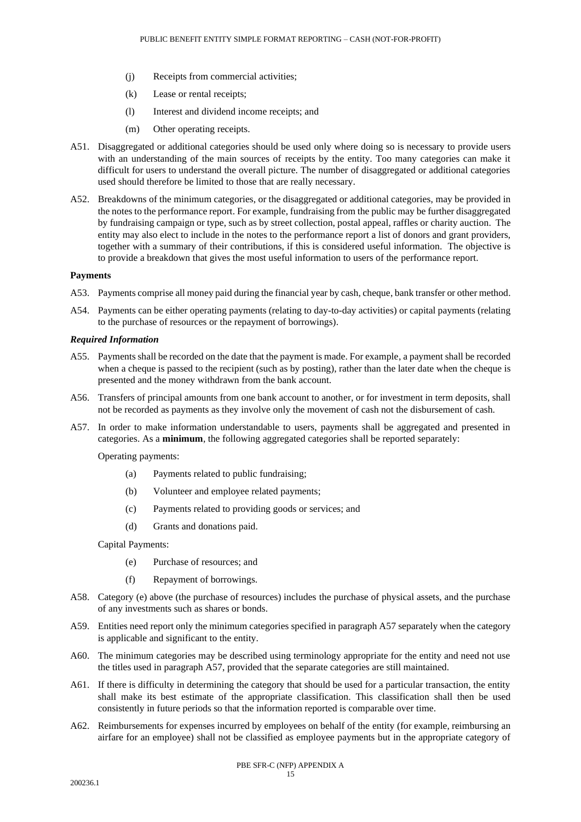- (j) Receipts from commercial activities;
- (k) Lease or rental receipts;
- (l) Interest and dividend income receipts; and
- (m) Other operating receipts.
- A51. Disaggregated or additional categories should be used only where doing so is necessary to provide users with an understanding of the main sources of receipts by the entity. Too many categories can make it difficult for users to understand the overall picture. The number of disaggregated or additional categories used should therefore be limited to those that are really necessary.
- A52. Breakdowns of the minimum categories, or the disaggregated or additional categories, may be provided in the notes to the performance report. For example, fundraising from the public may be further disaggregated by fundraising campaign or type, such as by street collection, postal appeal, raffles or charity auction. The entity may also elect to include in the notes to the performance report a list of donors and grant providers, together with a summary of their contributions, if this is considered useful information. The objective is to provide a breakdown that gives the most useful information to users of the performance report.

#### **Payments**

- A53. Payments comprise all money paid during the financial year by cash, cheque, bank transfer or other method.
- A54. Payments can be either operating payments (relating to day-to-day activities) or capital payments (relating to the purchase of resources or the repayment of borrowings).

#### *Required Information*

- A55. Payments shall be recorded on the date that the payment is made. For example, a payment shall be recorded when a cheque is passed to the recipient (such as by posting), rather than the later date when the cheque is presented and the money withdrawn from the bank account.
- A56. Transfers of principal amounts from one bank account to another, or for investment in term deposits, shall not be recorded as payments as they involve only the movement of cash not the disbursement of cash.
- A57. In order to make information understandable to users, payments shall be aggregated and presented in categories. As a **minimum**, the following aggregated categories shall be reported separately:

Operating payments:

- (a) Payments related to public fundraising;
- (b) Volunteer and employee related payments;
- (c) Payments related to providing goods or services; and
- (d) Grants and donations paid.

Capital Payments:

- (e) Purchase of resources; and
- (f) Repayment of borrowings.
- A58. Category (e) above (the purchase of resources) includes the purchase of physical assets, and the purchase of any investments such as shares or bonds.
- A59. Entities need report only the minimum categories specified in paragraph A57 separately when the category is applicable and significant to the entity.
- A60. The minimum categories may be described using terminology appropriate for the entity and need not use the titles used in paragraph A57, provided that the separate categories are still maintained.
- A61. If there is difficulty in determining the category that should be used for a particular transaction, the entity shall make its best estimate of the appropriate classification. This classification shall then be used consistently in future periods so that the information reported is comparable over time.
- A62. Reimbursements for expenses incurred by employees on behalf of the entity (for example, reimbursing an airfare for an employee) shall not be classified as employee payments but in the appropriate category of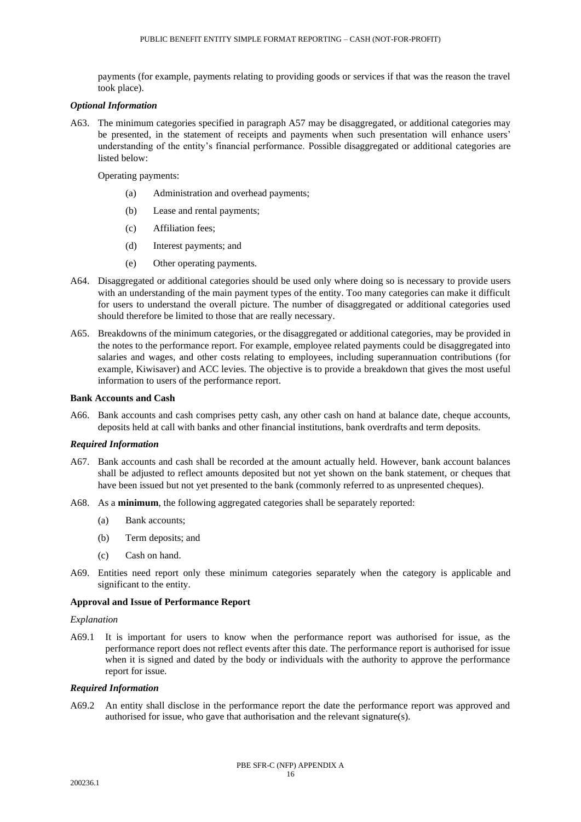payments (for example, payments relating to providing goods or services if that was the reason the travel took place).

#### *Optional Information*

A63. The minimum categories specified in paragraph A57 may be disaggregated, or additional categories may be presented, in the statement of receipts and payments when such presentation will enhance users' understanding of the entity's financial performance. Possible disaggregated or additional categories are listed below:

Operating payments:

- (a) Administration and overhead payments;
- (b) Lease and rental payments;
- (c) Affiliation fees;
- (d) Interest payments; and
- (e) Other operating payments.
- A64. Disaggregated or additional categories should be used only where doing so is necessary to provide users with an understanding of the main payment types of the entity. Too many categories can make it difficult for users to understand the overall picture. The number of disaggregated or additional categories used should therefore be limited to those that are really necessary.
- A65. Breakdowns of the minimum categories, or the disaggregated or additional categories, may be provided in the notes to the performance report. For example, employee related payments could be disaggregated into salaries and wages, and other costs relating to employees, including superannuation contributions (for example, Kiwisaver) and ACC levies. The objective is to provide a breakdown that gives the most useful information to users of the performance report.

#### **Bank Accounts and Cash**

A66. Bank accounts and cash comprises petty cash, any other cash on hand at balance date, cheque accounts, deposits held at call with banks and other financial institutions, bank overdrafts and term deposits.

#### *Required Information*

- A67. Bank accounts and cash shall be recorded at the amount actually held. However, bank account balances shall be adjusted to reflect amounts deposited but not yet shown on the bank statement, or cheques that have been issued but not yet presented to the bank (commonly referred to as unpresented cheques).
- A68. As a **minimum**, the following aggregated categories shall be separately reported:
	- (a) Bank accounts;
	- (b) Term deposits; and
	- (c) Cash on hand.
- A69. Entities need report only these minimum categories separately when the category is applicable and significant to the entity.

#### **Approval and Issue of Performance Report**

#### *Explanation*

A69.1 It is important for users to know when the performance report was authorised for issue, as the performance report does not reflect events after this date. The performance report is authorised for issue when it is signed and dated by the body or individuals with the authority to approve the performance report for issue.

# *Required Information*

A69.2 An entity shall disclose in the performance report the date the performance report was approved and authorised for issue, who gave that authorisation and the relevant signature(s).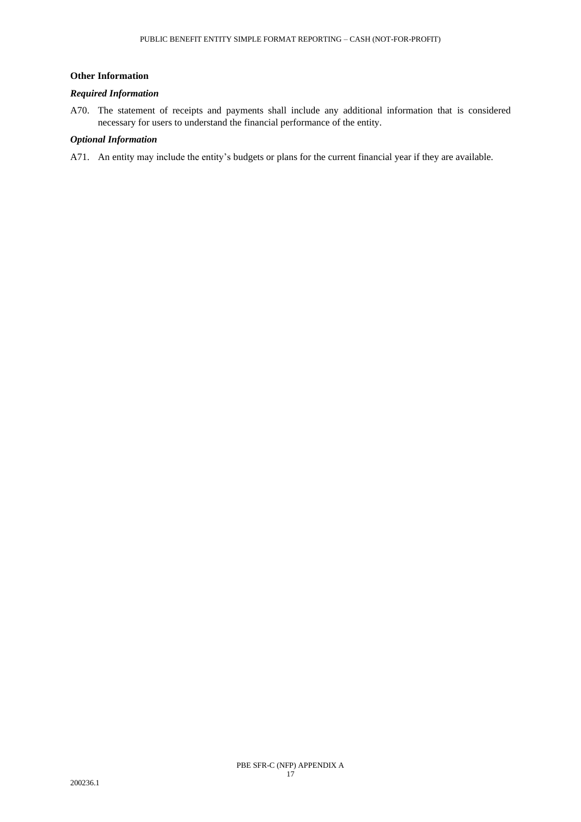# **Other Information**

# *Required Information*

A70. The statement of receipts and payments shall include any additional information that is considered necessary for users to understand the financial performance of the entity.

# *Optional Information*

A71. An entity may include the entity's budgets or plans for the current financial year if they are available.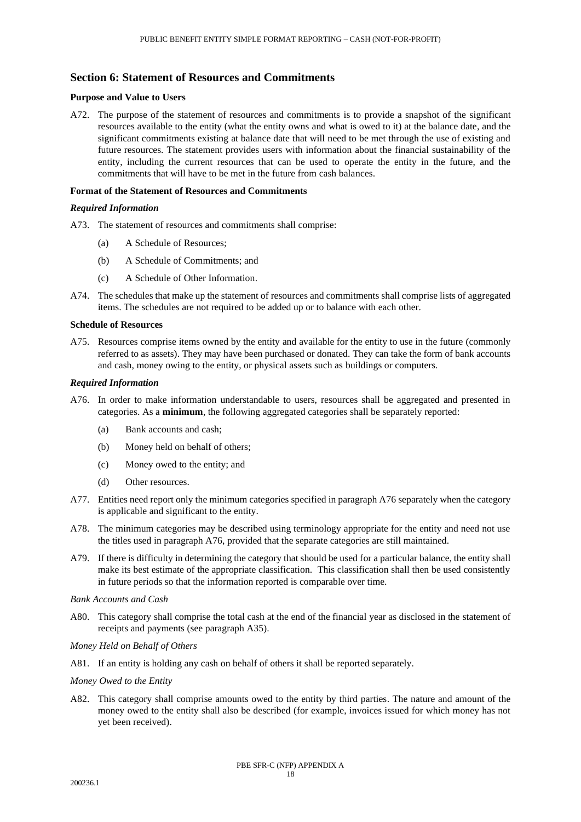# **Section 6: Statement of Resources and Commitments**

### **Purpose and Value to Users**

A72. The purpose of the statement of resources and commitments is to provide a snapshot of the significant resources available to the entity (what the entity owns and what is owed to it) at the balance date, and the significant commitments existing at balance date that will need to be met through the use of existing and future resources. The statement provides users with information about the financial sustainability of the entity, including the current resources that can be used to operate the entity in the future, and the commitments that will have to be met in the future from cash balances.

### **Format of the Statement of Resources and Commitments**

### *Required Information*

- A73. The statement of resources and commitments shall comprise:
	- (a) A Schedule of Resources;
	- (b) A Schedule of Commitments; and
	- (c) A Schedule of Other Information.
- A74. The schedules that make up the statement of resources and commitments shall comprise lists of aggregated items. The schedules are not required to be added up or to balance with each other.

#### **Schedule of Resources**

A75. Resources comprise items owned by the entity and available for the entity to use in the future (commonly referred to as assets). They may have been purchased or donated. They can take the form of bank accounts and cash, money owing to the entity, or physical assets such as buildings or computers.

# *Required Information*

- A76. In order to make information understandable to users, resources shall be aggregated and presented in categories. As a **minimum**, the following aggregated categories shall be separately reported:
	- (a) Bank accounts and cash;
	- (b) Money held on behalf of others;
	- (c) Money owed to the entity; and
	- (d) Other resources.
- A77. Entities need report only the minimum categories specified in paragraph A76 separately when the category is applicable and significant to the entity.
- A78. The minimum categories may be described using terminology appropriate for the entity and need not use the titles used in paragraph A76, provided that the separate categories are still maintained.
- A79. If there is difficulty in determining the category that should be used for a particular balance, the entity shall make its best estimate of the appropriate classification. This classification shall then be used consistently in future periods so that the information reported is comparable over time.

*Bank Accounts and Cash*

A80. This category shall comprise the total cash at the end of the financial year as disclosed in the statement of receipts and payments (see paragraph A35).

# *Money Held on Behalf of Others*

A81. If an entity is holding any cash on behalf of others it shall be reported separately.

*Money Owed to the Entity*

A82. This category shall comprise amounts owed to the entity by third parties. The nature and amount of the money owed to the entity shall also be described (for example, invoices issued for which money has not yet been received).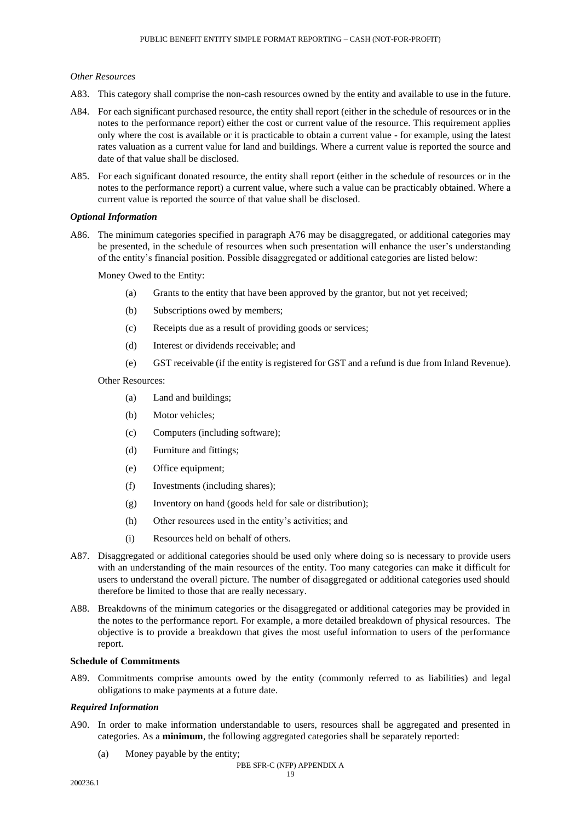### *Other Resources*

- A83. This category shall comprise the non-cash resources owned by the entity and available to use in the future.
- A84. For each significant purchased resource, the entity shall report (either in the schedule of resources or in the notes to the performance report) either the cost or current value of the resource. This requirement applies only where the cost is available or it is practicable to obtain a current value - for example, using the latest rates valuation as a current value for land and buildings. Where a current value is reported the source and date of that value shall be disclosed.
- A85. For each significant donated resource, the entity shall report (either in the schedule of resources or in the notes to the performance report) a current value, where such a value can be practicably obtained. Where a current value is reported the source of that value shall be disclosed.

#### *Optional Information*

A86. The minimum categories specified in paragraph A76 may be disaggregated, or additional categories may be presented, in the schedule of resources when such presentation will enhance the user's understanding of the entity's financial position. Possible disaggregated or additional categories are listed below:

Money Owed to the Entity:

- (a) Grants to the entity that have been approved by the grantor, but not yet received;
- (b) Subscriptions owed by members;
- (c) Receipts due as a result of providing goods or services;
- (d) Interest or dividends receivable; and
- (e) GST receivable (if the entity is registered for GST and a refund is due from Inland Revenue).

#### Other Resources:

- (a) Land and buildings;
- (b) Motor vehicles;
- (c) Computers (including software);
- (d) Furniture and fittings;
- (e) Office equipment;
- (f) Investments (including shares);
- (g) Inventory on hand (goods held for sale or distribution);
- (h) Other resources used in the entity's activities; and
- (i) Resources held on behalf of others.
- A87. Disaggregated or additional categories should be used only where doing so is necessary to provide users with an understanding of the main resources of the entity. Too many categories can make it difficult for users to understand the overall picture. The number of disaggregated or additional categories used should therefore be limited to those that are really necessary.
- A88. Breakdowns of the minimum categories or the disaggregated or additional categories may be provided in the notes to the performance report. For example, a more detailed breakdown of physical resources. The objective is to provide a breakdown that gives the most useful information to users of the performance report.

## **Schedule of Commitments**

A89. Commitments comprise amounts owed by the entity (commonly referred to as liabilities) and legal obligations to make payments at a future date.

### *Required Information*

- A90. In order to make information understandable to users, resources shall be aggregated and presented in categories. As a **minimum**, the following aggregated categories shall be separately reported:
	- (a) Money payable by the entity;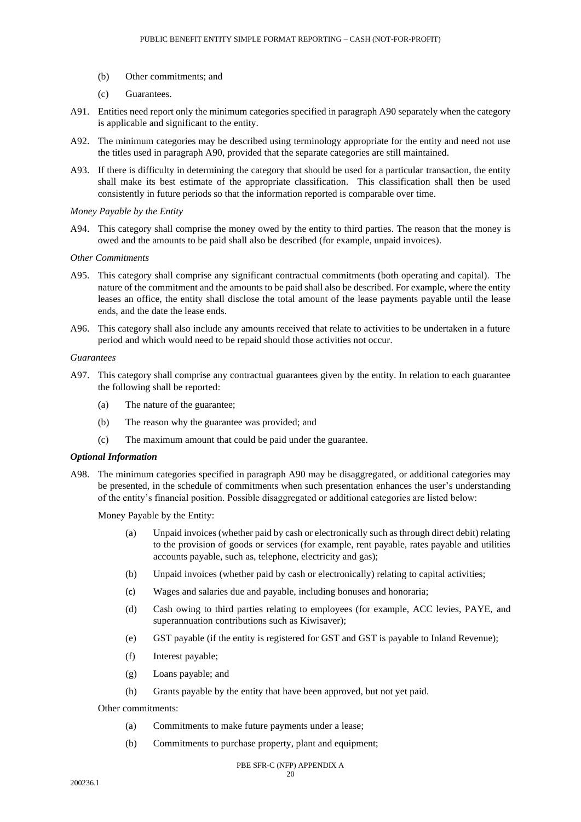- (b) Other commitments; and
- (c) Guarantees.
- A91. Entities need report only the minimum categories specified in paragraph A90 separately when the category is applicable and significant to the entity.
- A92. The minimum categories may be described using terminology appropriate for the entity and need not use the titles used in paragraph A90, provided that the separate categories are still maintained.
- A93. If there is difficulty in determining the category that should be used for a particular transaction, the entity shall make its best estimate of the appropriate classification. This classification shall then be used consistently in future periods so that the information reported is comparable over time.

# *Money Payable by the Entity*

A94. This category shall comprise the money owed by the entity to third parties. The reason that the money is owed and the amounts to be paid shall also be described (for example, unpaid invoices).

#### *Other Commitments*

- A95. This category shall comprise any significant contractual commitments (both operating and capital). The nature of the commitment and the amounts to be paid shall also be described. For example, where the entity leases an office, the entity shall disclose the total amount of the lease payments payable until the lease ends, and the date the lease ends.
- A96. This category shall also include any amounts received that relate to activities to be undertaken in a future period and which would need to be repaid should those activities not occur.

#### *Guarantees*

- A97. This category shall comprise any contractual guarantees given by the entity. In relation to each guarantee the following shall be reported:
	- (a) The nature of the guarantee;
	- (b) The reason why the guarantee was provided; and
	- (c) The maximum amount that could be paid under the guarantee.

#### *Optional Information*

A98. The minimum categories specified in paragraph A90 may be disaggregated, or additional categories may be presented, in the schedule of commitments when such presentation enhances the user's understanding of the entity's financial position. Possible disaggregated or additional categories are listed below:

Money Payable by the Entity:

- (a) Unpaid invoices (whether paid by cash or electronically such as through direct debit) relating to the provision of goods or services (for example, rent payable, rates payable and utilities accounts payable, such as, telephone, electricity and gas);
- (b) Unpaid invoices (whether paid by cash or electronically) relating to capital activities;
- (c) Wages and salaries due and payable, including bonuses and honoraria;
- (d) Cash owing to third parties relating to employees (for example, ACC levies, PAYE, and superannuation contributions such as Kiwisaver);
- (e) GST payable (if the entity is registered for GST and GST is payable to Inland Revenue);
- (f) Interest payable;
- (g) Loans payable; and
- (h) Grants payable by the entity that have been approved, but not yet paid.

Other commitments:

- (a) Commitments to make future payments under a lease;
- (b) Commitments to purchase property, plant and equipment;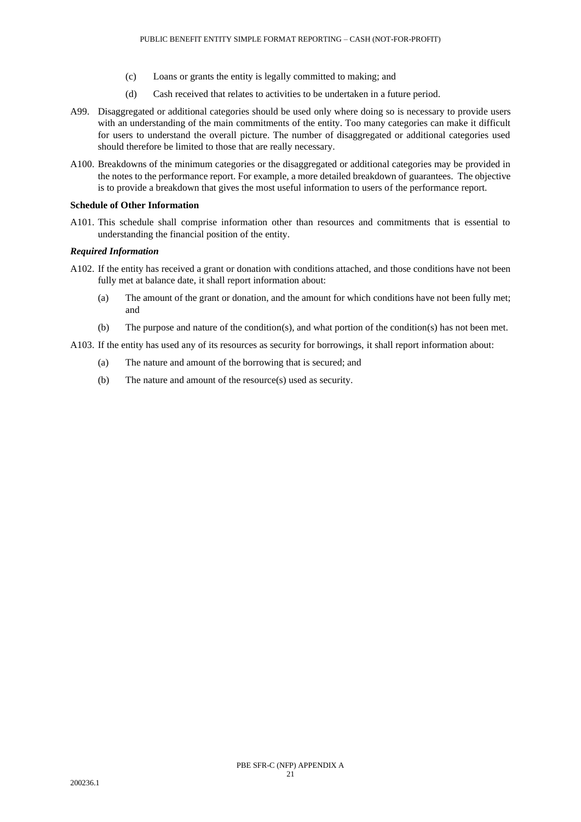- (c) Loans or grants the entity is legally committed to making; and
- (d) Cash received that relates to activities to be undertaken in a future period.
- A99. Disaggregated or additional categories should be used only where doing so is necessary to provide users with an understanding of the main commitments of the entity. Too many categories can make it difficult for users to understand the overall picture. The number of disaggregated or additional categories used should therefore be limited to those that are really necessary.
- A100. Breakdowns of the minimum categories or the disaggregated or additional categories may be provided in the notes to the performance report. For example, a more detailed breakdown of guarantees. The objective is to provide a breakdown that gives the most useful information to users of the performance report.

### **Schedule of Other Information**

A101. This schedule shall comprise information other than resources and commitments that is essential to understanding the financial position of the entity.

# *Required Information*

- A102. If the entity has received a grant or donation with conditions attached, and those conditions have not been fully met at balance date, it shall report information about:
	- (a) The amount of the grant or donation, and the amount for which conditions have not been fully met; and
	- (b) The purpose and nature of the condition(s), and what portion of the condition(s) has not been met.
- A103. If the entity has used any of its resources as security for borrowings, it shall report information about:
	- (a) The nature and amount of the borrowing that is secured; and
	- (b) The nature and amount of the resource(s) used as security.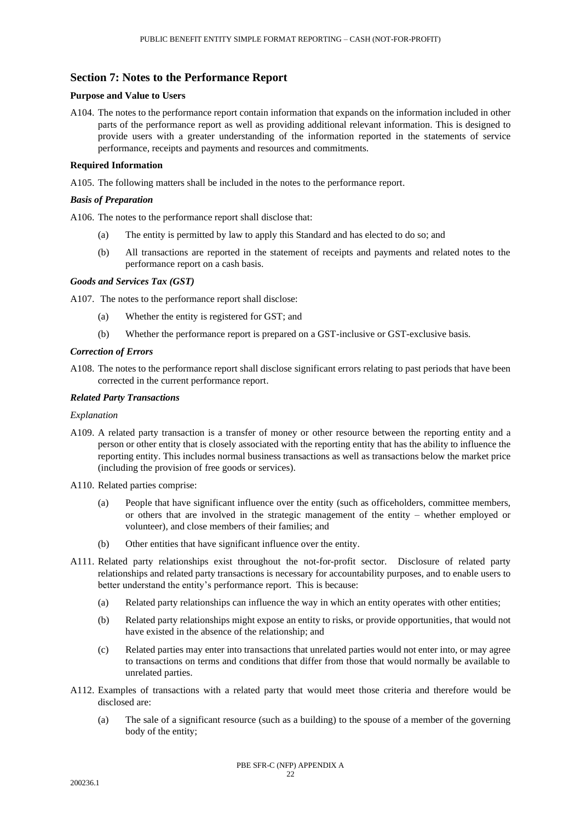# **Section 7: Notes to the Performance Report**

## **Purpose and Value to Users**

A104. The notes to the performance report contain information that expands on the information included in other parts of the performance report as well as providing additional relevant information. This is designed to provide users with a greater understanding of the information reported in the statements of service performance, receipts and payments and resources and commitments.

# **Required Information**

A105. The following matters shall be included in the notes to the performance report.

## *Basis of Preparation*

A106. The notes to the performance report shall disclose that:

- (a) The entity is permitted by law to apply this Standard and has elected to do so; and
- (b) All transactions are reported in the statement of receipts and payments and related notes to the performance report on a cash basis.

#### *Goods and Services Tax (GST)*

A107. The notes to the performance report shall disclose:

- (a) Whether the entity is registered for GST; and
- (b) Whether the performance report is prepared on a GST-inclusive or GST-exclusive basis.

# *Correction of Errors*

A108. The notes to the performance report shall disclose significant errors relating to past periods that have been corrected in the current performance report.

# *Related Party Transactions*

#### *Explanation*

- A109. A related party transaction is a transfer of money or other resource between the reporting entity and a person or other entity that is closely associated with the reporting entity that has the ability to influence the reporting entity. This includes normal business transactions as well as transactions below the market price (including the provision of free goods or services).
- A110. Related parties comprise:
	- (a) People that have significant influence over the entity (such as officeholders, committee members, or others that are involved in the strategic management of the entity – whether employed or volunteer), and close members of their families; and
	- (b) Other entities that have significant influence over the entity.
- A111. Related party relationships exist throughout the not-for-profit sector. Disclosure of related party relationships and related party transactions is necessary for accountability purposes, and to enable users to better understand the entity's performance report. This is because:
	- (a) Related party relationships can influence the way in which an entity operates with other entities;
	- (b) Related party relationships might expose an entity to risks, or provide opportunities, that would not have existed in the absence of the relationship; and
	- (c) Related parties may enter into transactions that unrelated parties would not enter into, or may agree to transactions on terms and conditions that differ from those that would normally be available to unrelated parties.
- A112. Examples of transactions with a related party that would meet those criteria and therefore would be disclosed are:
	- (a) The sale of a significant resource (such as a building) to the spouse of a member of the governing body of the entity;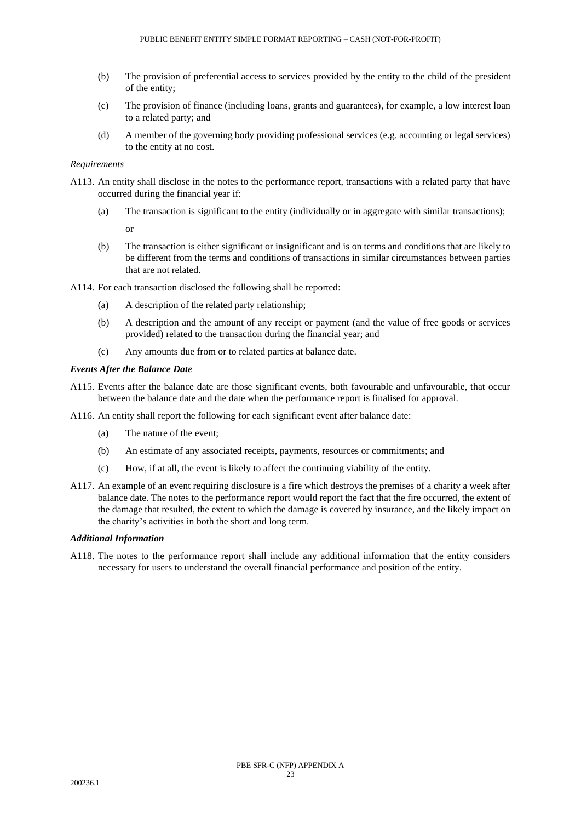- (b) The provision of preferential access to services provided by the entity to the child of the president of the entity;
- (c) The provision of finance (including loans, grants and guarantees), for example, a low interest loan to a related party; and
- (d) A member of the governing body providing professional services (e.g. accounting or legal services) to the entity at no cost.

# *Requirements*

- A113. An entity shall disclose in the notes to the performance report, transactions with a related party that have occurred during the financial year if:
	- (a) The transaction is significant to the entity (individually or in aggregate with similar transactions);

or

(b) The transaction is either significant or insignificant and is on terms and conditions that are likely to be different from the terms and conditions of transactions in similar circumstances between parties that are not related.

A114. For each transaction disclosed the following shall be reported:

- (a) A description of the related party relationship;
- (b) A description and the amount of any receipt or payment (and the value of free goods or services provided) related to the transaction during the financial year; and
- (c) Any amounts due from or to related parties at balance date.

#### *Events After the Balance Date*

- A115. Events after the balance date are those significant events, both favourable and unfavourable, that occur between the balance date and the date when the performance report is finalised for approval.
- A116. An entity shall report the following for each significant event after balance date:
	- (a) The nature of the event;
	- (b) An estimate of any associated receipts, payments, resources or commitments; and
	- (c) How, if at all, the event is likely to affect the continuing viability of the entity.
- A117. An example of an event requiring disclosure is a fire which destroys the premises of a charity a week after balance date. The notes to the performance report would report the fact that the fire occurred, the extent of the damage that resulted, the extent to which the damage is covered by insurance, and the likely impact on the charity's activities in both the short and long term.

# *Additional Information*

A118. The notes to the performance report shall include any additional information that the entity considers necessary for users to understand the overall financial performance and position of the entity.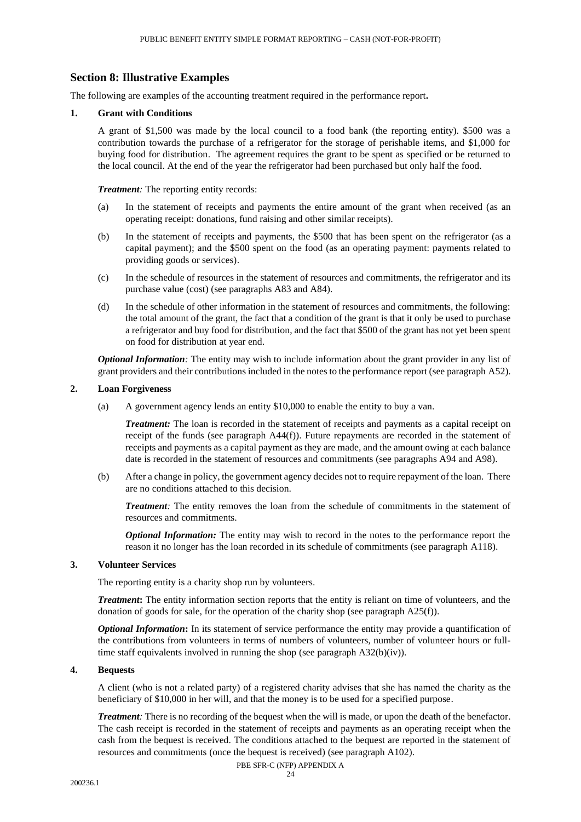# **Section 8: Illustrative Examples**

The following are examples of the accounting treatment required in the performance report**.**

# **1. Grant with Conditions**

A grant of \$1,500 was made by the local council to a food bank (the reporting entity). \$500 was a contribution towards the purchase of a refrigerator for the storage of perishable items, and \$1,000 for buying food for distribution. The agreement requires the grant to be spent as specified or be returned to the local council. At the end of the year the refrigerator had been purchased but only half the food.

*Treatment:* The reporting entity records:

- (a) In the statement of receipts and payments the entire amount of the grant when received (as an operating receipt: donations, fund raising and other similar receipts).
- (b) In the statement of receipts and payments, the \$500 that has been spent on the refrigerator (as a capital payment); and the \$500 spent on the food (as an operating payment: payments related to providing goods or services).
- (c) In the schedule of resources in the statement of resources and commitments, the refrigerator and its purchase value (cost) (see paragraphs A83 and A84).
- (d) In the schedule of other information in the statement of resources and commitments, the following: the total amount of the grant, the fact that a condition of the grant is that it only be used to purchase a refrigerator and buy food for distribution, and the fact that \$500 of the grant has not yet been spent on food for distribution at year end.

*Optional Information*: The entity may wish to include information about the grant provider in any list of grant providers and their contributions included in the notes to the performance report (see paragraph A52).

# **2. Loan Forgiveness**

(a) A government agency lends an entity \$10,000 to enable the entity to buy a van.

*Treatment:* The loan is recorded in the statement of receipts and payments as a capital receipt on receipt of the funds (see paragraph A44(f)). Future repayments are recorded in the statement of receipts and payments as a capital payment as they are made, and the amount owing at each balance date is recorded in the statement of resources and commitments (see paragraphs A94 and A98).

(b) After a change in policy, the government agency decides not to require repayment of the loan. There are no conditions attached to this decision.

*Treatment:* The entity removes the loan from the schedule of commitments in the statement of resources and commitments.

*Optional Information:* The entity may wish to record in the notes to the performance report the reason it no longer has the loan recorded in its schedule of commitments (see paragraph A118).

### **3. Volunteer Services**

The reporting entity is a charity shop run by volunteers.

*Treatment***:** The entity information section reports that the entity is reliant on time of volunteers, and the donation of goods for sale, for the operation of the charity shop (see paragraph A25(f)).

*Optional Information***:** In its statement of service performance the entity may provide a quantification of the contributions from volunteers in terms of numbers of volunteers, number of volunteer hours or fulltime staff equivalents involved in running the shop (see paragraph A32(b)(iv)).

# **4. Bequests**

A client (who is not a related party) of a registered charity advises that she has named the charity as the beneficiary of \$10,000 in her will, and that the money is to be used for a specified purpose.

*Treatment:* There is no recording of the bequest when the will is made, or upon the death of the benefactor. The cash receipt is recorded in the statement of receipts and payments as an operating receipt when the cash from the bequest is received. The conditions attached to the bequest are reported in the statement of resources and commitments (once the bequest is received) (see paragraph A102).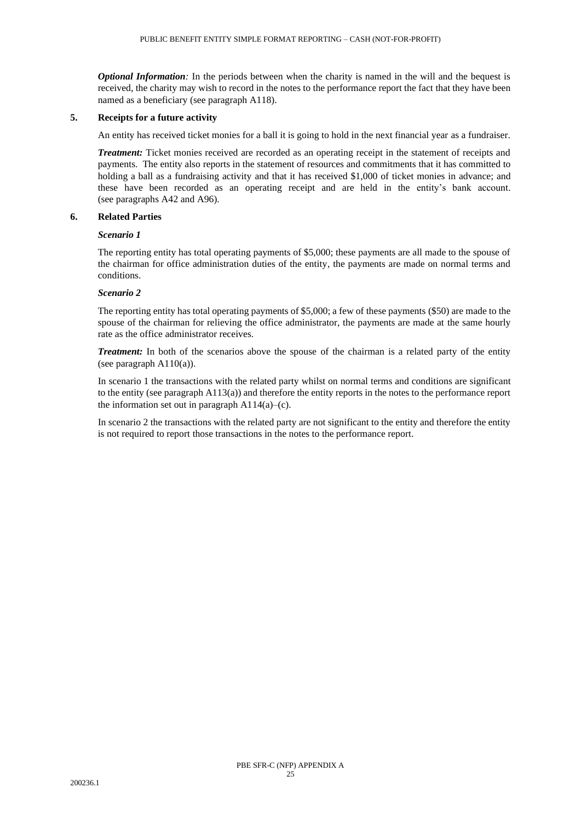*Optional Information*: In the periods between when the charity is named in the will and the bequest is received, the charity may wish to record in the notes to the performance report the fact that they have been named as a beneficiary (see paragraph A118).

# **5. Receipts for a future activity**

An entity has received ticket monies for a ball it is going to hold in the next financial year as a fundraiser.

*Treatment:* Ticket monies received are recorded as an operating receipt in the statement of receipts and payments. The entity also reports in the statement of resources and commitments that it has committed to holding a ball as a fundraising activity and that it has received \$1,000 of ticket monies in advance; and these have been recorded as an operating receipt and are held in the entity's bank account. (see paragraphs A42 and A96).

# **6. Related Parties**

# *Scenario 1*

The reporting entity has total operating payments of \$5,000; these payments are all made to the spouse of the chairman for office administration duties of the entity, the payments are made on normal terms and conditions.

# *Scenario 2*

The reporting entity has total operating payments of \$5,000; a few of these payments (\$50) are made to the spouse of the chairman for relieving the office administrator, the payments are made at the same hourly rate as the office administrator receives.

*Treatment:* In both of the scenarios above the spouse of the chairman is a related party of the entity (see paragraph A110(a)).

In scenario 1 the transactions with the related party whilst on normal terms and conditions are significant to the entity (see paragraph A113(a)) and therefore the entity reports in the notes to the performance report the information set out in paragraph  $A114(a)$ –(c).

In scenario 2 the transactions with the related party are not significant to the entity and therefore the entity is not required to report those transactions in the notes to the performance report.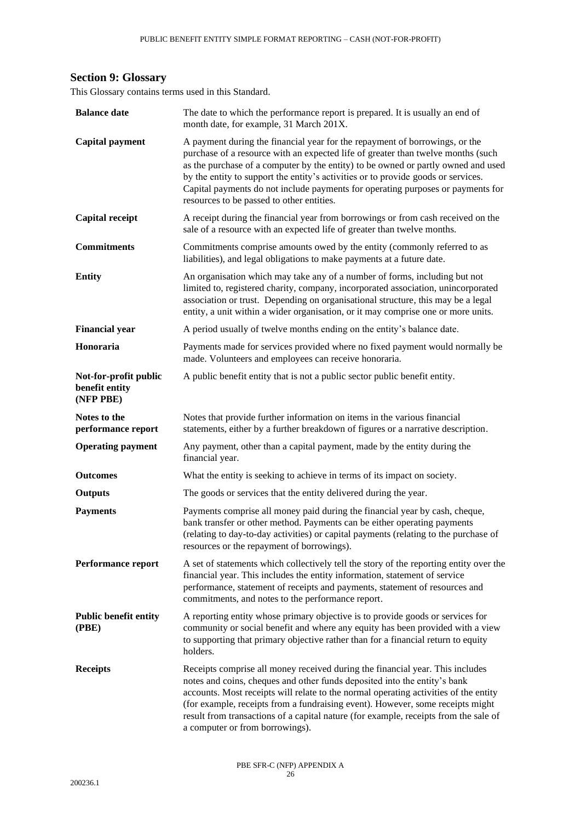# **Section 9: Glossary**

This Glossary contains terms used in this Standard.

<span id="page-25-1"></span><span id="page-25-0"></span>

| <b>Balance date</b>                                  | The date to which the performance report is prepared. It is usually an end of<br>month date, for example, 31 March 201X.                                                                                                                                                                                                                                                                                                                                                  |
|------------------------------------------------------|---------------------------------------------------------------------------------------------------------------------------------------------------------------------------------------------------------------------------------------------------------------------------------------------------------------------------------------------------------------------------------------------------------------------------------------------------------------------------|
| <b>Capital payment</b>                               | A payment during the financial year for the repayment of borrowings, or the<br>purchase of a resource with an expected life of greater than twelve months (such<br>as the purchase of a computer by the entity) to be owned or partly owned and used<br>by the entity to support the entity's activities or to provide goods or services.<br>Capital payments do not include payments for operating purposes or payments for<br>resources to be passed to other entities. |
| <b>Capital receipt</b>                               | A receipt during the financial year from borrowings or from cash received on the<br>sale of a resource with an expected life of greater than twelve months.                                                                                                                                                                                                                                                                                                               |
| <b>Commitments</b>                                   | Commitments comprise amounts owed by the entity (commonly referred to as<br>liabilities), and legal obligations to make payments at a future date.                                                                                                                                                                                                                                                                                                                        |
| <b>Entity</b>                                        | An organisation which may take any of a number of forms, including but not<br>limited to, registered charity, company, incorporated association, unincorporated<br>association or trust. Depending on organisational structure, this may be a legal<br>entity, a unit within a wider organisation, or it may comprise one or more units.                                                                                                                                  |
| <b>Financial year</b>                                | A period usually of twelve months ending on the entity's balance date.                                                                                                                                                                                                                                                                                                                                                                                                    |
| Honoraria                                            | Payments made for services provided where no fixed payment would normally be<br>made. Volunteers and employees can receive honoraria.                                                                                                                                                                                                                                                                                                                                     |
| Not-for-profit public<br>benefit entity<br>(NFP PBE) | A public benefit entity that is not a public sector public benefit entity.                                                                                                                                                                                                                                                                                                                                                                                                |
| Notes to the<br>performance report                   | Notes that provide further information on items in the various financial<br>statements, either by a further breakdown of figures or a narrative description.                                                                                                                                                                                                                                                                                                              |
| <b>Operating payment</b>                             | Any payment, other than a capital payment, made by the entity during the<br>financial year.                                                                                                                                                                                                                                                                                                                                                                               |
| <b>Outcomes</b>                                      | What the entity is seeking to achieve in terms of its impact on society.                                                                                                                                                                                                                                                                                                                                                                                                  |
| <b>Outputs</b>                                       | The goods or services that the entity delivered during the year.                                                                                                                                                                                                                                                                                                                                                                                                          |
| <b>Payments</b>                                      | Payments comprise all money paid during the financial year by cash, cheque,<br>bank transfer or other method. Payments can be either operating payments<br>(relating to day-to-day activities) or capital payments (relating to the purchase of<br>resources or the repayment of borrowings).                                                                                                                                                                             |
| Performance report                                   | A set of statements which collectively tell the story of the reporting entity over the<br>financial year. This includes the entity information, statement of service<br>performance, statement of receipts and payments, statement of resources and<br>commitments, and notes to the performance report.                                                                                                                                                                  |
| <b>Public benefit entity</b><br>(PBE)                | A reporting entity whose primary objective is to provide goods or services for<br>community or social benefit and where any equity has been provided with a view<br>to supporting that primary objective rather than for a financial return to equity<br>holders.                                                                                                                                                                                                         |
| <b>Receipts</b>                                      | Receipts comprise all money received during the financial year. This includes<br>notes and coins, cheques and other funds deposited into the entity's bank<br>accounts. Most receipts will relate to the normal operating activities of the entity<br>(for example, receipts from a fundraising event). However, some receipts might<br>result from transactions of a capital nature (for example, receipts from the sale of<br>a computer or from borrowings).           |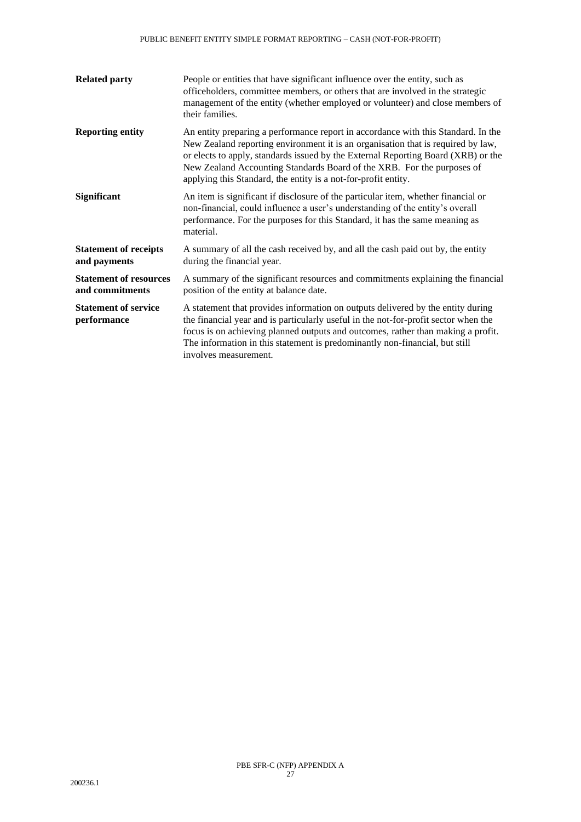| <b>Related party</b>                             | People or entities that have significant influence over the entity, such as<br>officeholders, committee members, or others that are involved in the strategic<br>management of the entity (whether employed or volunteer) and close members of<br>their families.                                                                                                                                      |
|--------------------------------------------------|--------------------------------------------------------------------------------------------------------------------------------------------------------------------------------------------------------------------------------------------------------------------------------------------------------------------------------------------------------------------------------------------------------|
| <b>Reporting entity</b>                          | An entity preparing a performance report in accordance with this Standard. In the<br>New Zealand reporting environment it is an organisation that is required by law,<br>or elects to apply, standards issued by the External Reporting Board (XRB) or the<br>New Zealand Accounting Standards Board of the XRB. For the purposes of<br>applying this Standard, the entity is a not-for-profit entity. |
| Significant                                      | An item is significant if disclosure of the particular item, whether financial or<br>non-financial, could influence a user's understanding of the entity's overall<br>performance. For the purposes for this Standard, it has the same meaning as<br>material.                                                                                                                                         |
| <b>Statement of receipts</b><br>and payments     | A summary of all the cash received by, and all the cash paid out by, the entity<br>during the financial year.                                                                                                                                                                                                                                                                                          |
| <b>Statement of resources</b><br>and commitments | A summary of the significant resources and commitments explaining the financial<br>position of the entity at balance date.                                                                                                                                                                                                                                                                             |
| <b>Statement of service</b><br>performance       | A statement that provides information on outputs delivered by the entity during<br>the financial year and is particularly useful in the not-for-profit sector when the<br>focus is on achieving planned outputs and outcomes, rather than making a profit.<br>The information in this statement is predominantly non-financial, but still<br>involves measurement.                                     |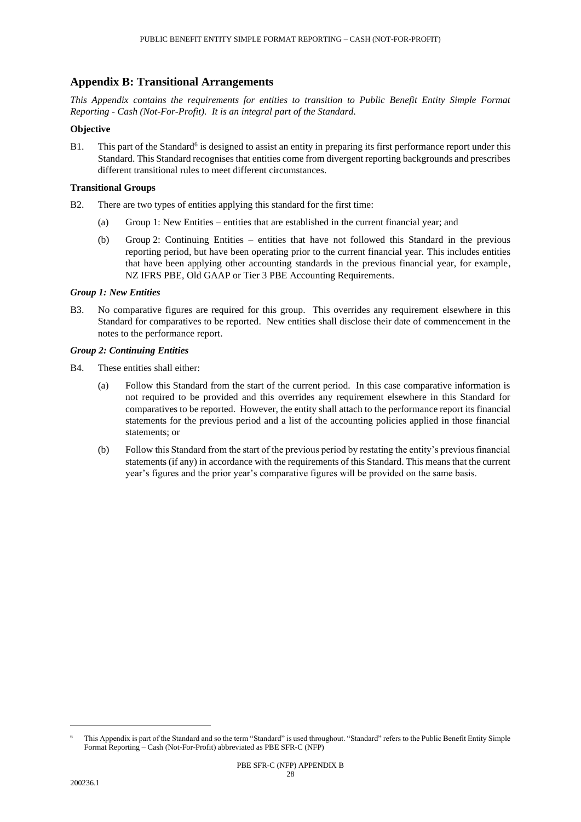# **Appendix B: Transitional Arrangements**

*This Appendix contains the requirements for entities to transition to Public Benefit Entity Simple Format Reporting - Cash (Not-For-Profit). It is an integral part of the Standard.*

# **Objective**

B1. This part of the Standard<sup>6</sup> is designed to assist an entity in preparing its first performance report under this Standard. This Standard recognises that entities come from divergent reporting backgrounds and prescribes different transitional rules to meet different circumstances.

# **Transitional Groups**

- B2. There are two types of entities applying this standard for the first time:
	- (a) Group 1: New Entities entities that are established in the current financial year; and
	- (b) Group 2: Continuing Entities entities that have not followed this Standard in the previous reporting period, but have been operating prior to the current financial year. This includes entities that have been applying other accounting standards in the previous financial year, for example, NZ IFRS PBE, Old GAAP or Tier 3 PBE Accounting Requirements.

# *Group 1: New Entities*

B3. No comparative figures are required for this group. This overrides any requirement elsewhere in this Standard for comparatives to be reported. New entities shall disclose their date of commencement in the notes to the performance report.

# *Group 2: Continuing Entities*

- B4. These entities shall either:
	- (a) Follow this Standard from the start of the current period. In this case comparative information is not required to be provided and this overrides any requirement elsewhere in this Standard for comparatives to be reported. However, the entity shall attach to the performance report its financial statements for the previous period and a list of the accounting policies applied in those financial statements; or
	- (b) Follow this Standard from the start of the previous period by restating the entity's previous financial statements (if any) in accordance with the requirements of this Standard. This means that the current year's figures and the prior year's comparative figures will be provided on the same basis.

This Appendix is part of the Standard and so the term "Standard" is used throughout. "Standard" refers to the Public Benefit Entity Simple Format Reporting – Cash (Not-For-Profit) abbreviated as PBE SFR-C (NFP)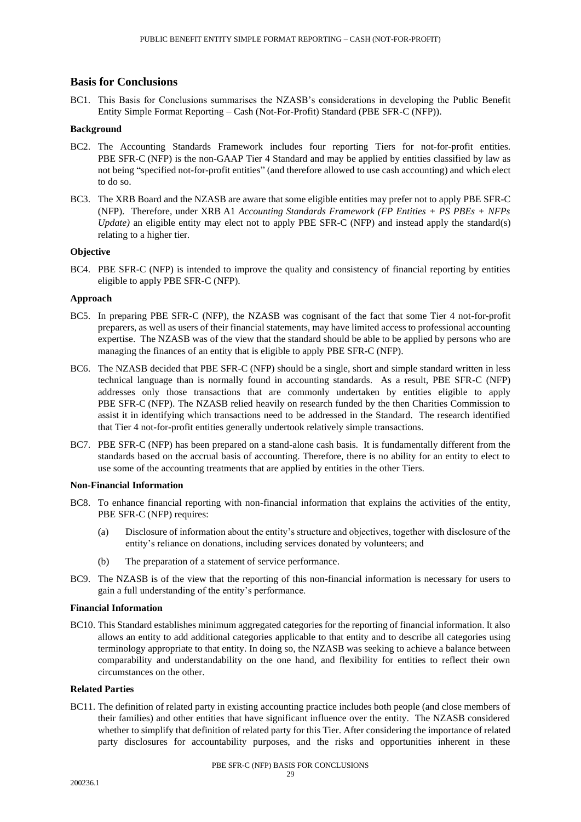# **Basis for Conclusions**

BC1. This Basis for Conclusions summarises the NZASB's considerations in developing the Public Benefit Entity Simple Format Reporting – Cash (Not-For-Profit) Standard (PBE SFR-C (NFP)).

#### **Background**

- BC2. The Accounting Standards Framework includes four reporting Tiers for not-for-profit entities. PBE SFR-C (NFP) is the non-GAAP Tier 4 Standard and may be applied by entities classified by law as not being "specified not-for-profit entities" (and therefore allowed to use cash accounting) and which elect to do so.
- BC3. The XRB Board and the NZASB are aware that some eligible entities may prefer not to apply PBE SFR-C (NFP). Therefore, under XRB A1 *Accounting Standards Framework (FP Entities + PS PBEs + NFPs Update*) an eligible entity may elect not to apply PBE SFR-C (NFP) and instead apply the standard(s) relating to a higher tier.

# **Objective**

BC4. PBE SFR-C (NFP) is intended to improve the quality and consistency of financial reporting by entities eligible to apply PBE SFR-C (NFP).

### **Approach**

- BC5. In preparing PBE SFR-C (NFP), the NZASB was cognisant of the fact that some Tier 4 not-for-profit preparers, as well as users of their financial statements, may have limited access to professional accounting expertise. The NZASB was of the view that the standard should be able to be applied by persons who are managing the finances of an entity that is eligible to apply PBE SFR-C (NFP).
- BC6. The NZASB decided that PBE SFR-C (NFP) should be a single, short and simple standard written in less technical language than is normally found in accounting standards. As a result, PBE SFR-C (NFP) addresses only those transactions that are commonly undertaken by entities eligible to apply PBE SFR-C (NFP). The NZASB relied heavily on research funded by the then Charities Commission to assist it in identifying which transactions need to be addressed in the Standard. The research identified that Tier 4 not-for-profit entities generally undertook relatively simple transactions.
- BC7. PBE SFR-C (NFP) has been prepared on a stand-alone cash basis. It is fundamentally different from the standards based on the accrual basis of accounting. Therefore, there is no ability for an entity to elect to use some of the accounting treatments that are applied by entities in the other Tiers.

# **Non-Financial Information**

- BC8. To enhance financial reporting with non-financial information that explains the activities of the entity, PBE SFR-C (NFP) requires:
	- (a) Disclosure of information about the entity's structure and objectives, together with disclosure of the entity's reliance on donations, including services donated by volunteers; and
	- (b) The preparation of a statement of service performance.
- BC9. The NZASB is of the view that the reporting of this non-financial information is necessary for users to gain a full understanding of the entity's performance.

#### **Financial Information**

BC10. This Standard establishes minimum aggregated categories for the reporting of financial information. It also allows an entity to add additional categories applicable to that entity and to describe all categories using terminology appropriate to that entity. In doing so, the NZASB was seeking to achieve a balance between comparability and understandability on the one hand, and flexibility for entities to reflect their own circumstances on the other.

### **Related Parties**

BC11. The definition of related party in existing accounting practice includes both people (and close members of their families) and other entities that have significant influence over the entity. The NZASB considered whether to simplify that definition of related party for this Tier. After considering the importance of related party disclosures for accountability purposes, and the risks and opportunities inherent in these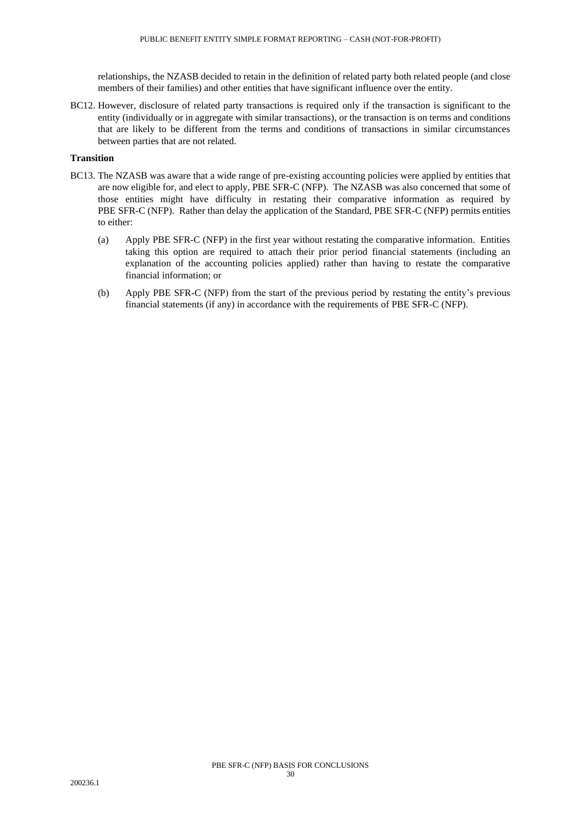relationships, the NZASB decided to retain in the definition of related party both related people (and close members of their families) and other entities that have significant influence over the entity.

BC12. However, disclosure of related party transactions is required only if the transaction is significant to the entity (individually or in aggregate with similar transactions), or the transaction is on terms and conditions that are likely to be different from the terms and conditions of transactions in similar circumstances between parties that are not related.

## **Transition**

- BC13. The NZASB was aware that a wide range of pre-existing accounting policies were applied by entities that are now eligible for, and elect to apply, PBE SFR-C (NFP). The NZASB was also concerned that some of those entities might have difficulty in restating their comparative information as required by PBE SFR-C (NFP). Rather than delay the application of the Standard, PBE SFR-C (NFP) permits entities to either:
	- (a) Apply PBE SFR-C (NFP) in the first year without restating the comparative information. Entities taking this option are required to attach their prior period financial statements (including an explanation of the accounting policies applied) rather than having to restate the comparative financial information; or
	- (b) Apply PBE SFR-C (NFP) from the start of the previous period by restating the entity's previous financial statements (if any) in accordance with the requirements of PBE SFR-C (NFP).